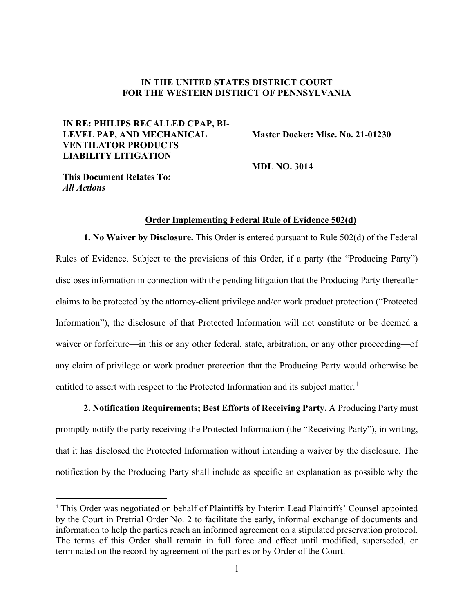## **IN THE UNITED STATES DISTRICT COURT FOR THE WESTERN DISTRICT OF PENNSYLVANIA**

# **IN RE: PHILIPS RECALLED CPAP, BI-LEVEL PAP, AND MECHANICAL VENTILATOR PRODUCTS LIABILITY LITIGATION**

**Master Docket: Misc. No. 21-01230** 

**MDL NO. 3014** 

**This Document Relates To:** *All Actions*

#### **Order Implementing Federal Rule of Evidence 502(d)**

**1. No Waiver by Disclosure.** This Order is entered pursuant to Rule 502(d) of the Federal Rules of Evidence. Subject to the provisions of this Order, if a party (the "Producing Party") discloses information in connection with the pending litigation that the Producing Party thereafter claims to be protected by the attorney-client privilege and/or work product protection ("Protected Information"), the disclosure of that Protected Information will not constitute or be deemed a waiver or forfeiture—in this or any other federal, state, arbitration, or any other proceeding—of any claim of privilege or work product protection that the Producing Party would otherwise be entitled to assert with respect to the Protected Information and its subject matter.<sup>[1](#page-0-0)</sup>

**2. Notification Requirements; Best Efforts of Receiving Party.** A Producing Party must promptly notify the party receiving the Protected Information (the "Receiving Party"), in writing, that it has disclosed the Protected Information without intending a waiver by the disclosure. The notification by the Producing Party shall include as specific an explanation as possible why the

<span id="page-0-0"></span><sup>&</sup>lt;sup>1</sup> This Order was negotiated on behalf of Plaintiffs by Interim Lead Plaintiffs' Counsel appointed by the Court in Pretrial Order No. 2 to facilitate the early, informal exchange of documents and information to help the parties reach an informed agreement on a stipulated preservation protocol. The terms of this Order shall remain in full force and effect until modified, superseded, or terminated on the record by agreement of the parties or by Order of the Court.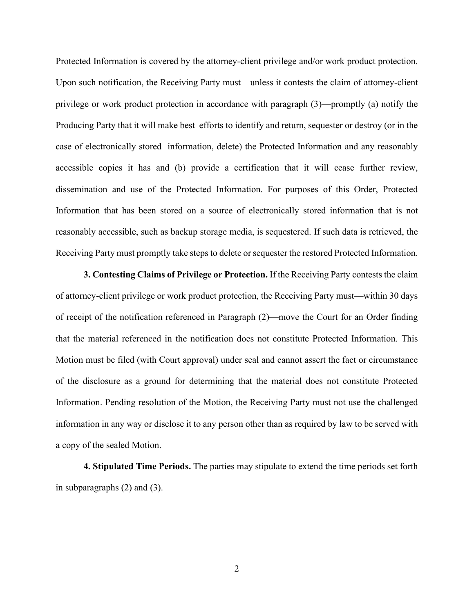Protected Information is covered by the attorney-client privilege and/or work product protection. Upon such notification, the Receiving Party must—unless it contests the claim of attorney-client privilege or work product protection in accordance with paragraph (3)—promptly (a) notify the Producing Party that it will make best efforts to identify and return, sequester or destroy (or in the case of electronically stored information, delete) the Protected Information and any reasonably accessible copies it has and (b) provide a certification that it will cease further review, dissemination and use of the Protected Information. For purposes of this Order, Protected Information that has been stored on a source of electronically stored information that is not reasonably accessible, such as backup storage media, is sequestered. If such data is retrieved, the Receiving Party must promptly take steps to delete or sequester the restored Protected Information.

**3. Contesting Claims of Privilege or Protection.** If the Receiving Party contests the claim of attorney-client privilege or work product protection, the Receiving Party must—within 30 days of receipt of the notification referenced in Paragraph (2)—move the Court for an Order finding that the material referenced in the notification does not constitute Protected Information. This Motion must be filed (with Court approval) under seal and cannot assert the fact or circumstance of the disclosure as a ground for determining that the material does not constitute Protected Information. Pending resolution of the Motion, the Receiving Party must not use the challenged information in any way or disclose it to any person other than as required by law to be served with a copy of the sealed Motion.

**4. Stipulated Time Periods.** The parties may stipulate to extend the time periods set forth in subparagraphs (2) and (3).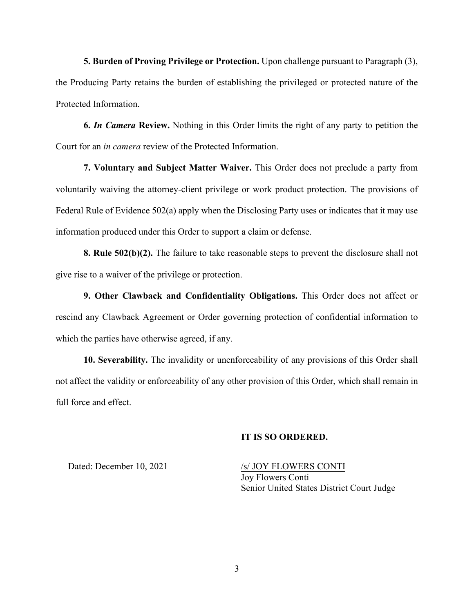**5. Burden of Proving Privilege or Protection.** Upon challenge pursuant to Paragraph (3), the Producing Party retains the burden of establishing the privileged or protected nature of the Protected Information.

**6.** *In Camera* **Review.** Nothing in this Order limits the right of any party to petition the Court for an *in camera* review of the Protected Information.

**7. Voluntary and Subject Matter Waiver.** This Order does not preclude a party from voluntarily waiving the attorney-client privilege or work product protection. The provisions of Federal Rule of Evidence 502(a) apply when the Disclosing Party uses or indicates that it may use information produced under this Order to support a claim or defense.

**8. Rule 502(b)(2).** The failure to take reasonable steps to prevent the disclosure shall not give rise to a waiver of the privilege or protection.

**9. Other Clawback and Confidentiality Obligations.** This Order does not affect or rescind any Clawback Agreement or Order governing protection of confidential information to which the parties have otherwise agreed, if any.

**10. Severability.** The invalidity or unenforceability of any provisions of this Order shall not affect the validity or enforceability of any other provision of this Order, which shall remain in full force and effect.

#### **IT IS SO ORDERED.**

Dated: December 10, 2021 /s/ JOY FLOWERS CONTI

Joy Flowers Conti Senior United States District Court Judge